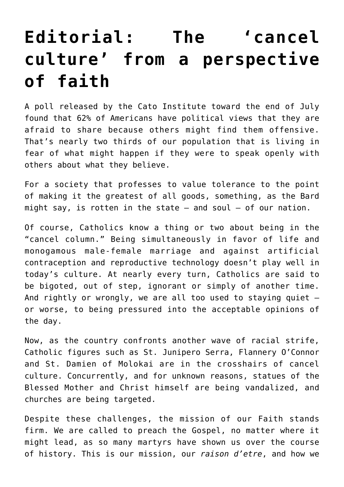## **[Editorial: The 'cancel](https://www.osvnews.com/2020/08/04/editorial-the-cancel-culture-from-a-perspective-of-faith/) [culture' from a perspective](https://www.osvnews.com/2020/08/04/editorial-the-cancel-culture-from-a-perspective-of-faith/) [of faith](https://www.osvnews.com/2020/08/04/editorial-the-cancel-culture-from-a-perspective-of-faith/)**

A poll released by the Cato Institute toward the end of July found that 62% of Americans have political views that they are afraid to share because others might find them offensive. That's nearly two thirds of our population that is living in fear of what might happen if they were to speak openly with others about what they believe.

For a society that professes to value tolerance to the point of making it the greatest of all goods, something, as the Bard might say, is rotten in the state  $-$  and soul  $-$  of our nation.

Of course, Catholics know a thing or two about being in the "cancel column." Being simultaneously in favor of life and monogamous male-female marriage and against artificial contraception and reproductive technology doesn't play well in today's culture. At nearly every turn, Catholics are said to be bigoted, out of step, ignorant or simply of another time. And rightly or wrongly, we are all too used to staying quiet or worse, to being pressured into the acceptable opinions of the day.

Now, as the country confronts another wave of racial strife, Catholic figures such as St. Junipero Serra, Flannery O'Connor and St. Damien of Molokai are in the crosshairs of cancel culture. Concurrently, and for unknown reasons, statues of the Blessed Mother and Christ himself are being vandalized, and churches are being targeted.

Despite these challenges, the mission of our Faith stands firm. We are called to preach the Gospel, no matter where it might lead, as so many martyrs have shown us over the course of history. This is our mission, our *raison d'etre*, and how we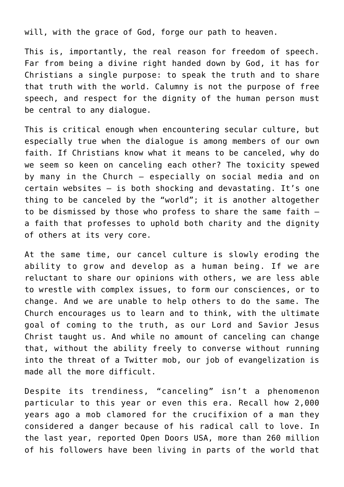will, with the grace of God, forge our path to heaven.

This is, importantly, the real reason for freedom of speech. Far from being a divine right handed down by God, it has for Christians a single purpose: to speak the truth and to share that truth with the world. Calumny is not the purpose of free speech, and respect for the dignity of the human person must be central to any dialogue.

This is critical enough when encountering secular culture, but especially true when the dialogue is among members of our own faith. If Christians know what it means to be canceled, why do we seem so keen on canceling each other? The toxicity spewed by many in the Church — especially on social media and on certain websites — is both shocking and devastating. It's one thing to be canceled by the "world"; it is another altogether to be dismissed by those who profess to share the same faith a faith that professes to uphold both charity and the dignity of others at its very core.

At the same time, our cancel culture is slowly eroding the ability to grow and develop as a human being. If we are reluctant to share our opinions with others, we are less able to wrestle with complex issues, to form our consciences, or to change. And we are unable to help others to do the same. The Church encourages us to learn and to think, with the ultimate goal of coming to the truth, as our Lord and Savior Jesus Christ taught us. And while no amount of canceling can change that, without the ability freely to converse without running into the threat of a Twitter mob, our job of evangelization is made all the more difficult.

Despite its trendiness, "canceling" isn't a phenomenon particular to this year or even this era. Recall how 2,000 years ago a mob clamored for the crucifixion of a man they considered a danger because of his radical call to love. In the last year, reported Open Doors USA, more than 260 million of his followers have been living in parts of the world that